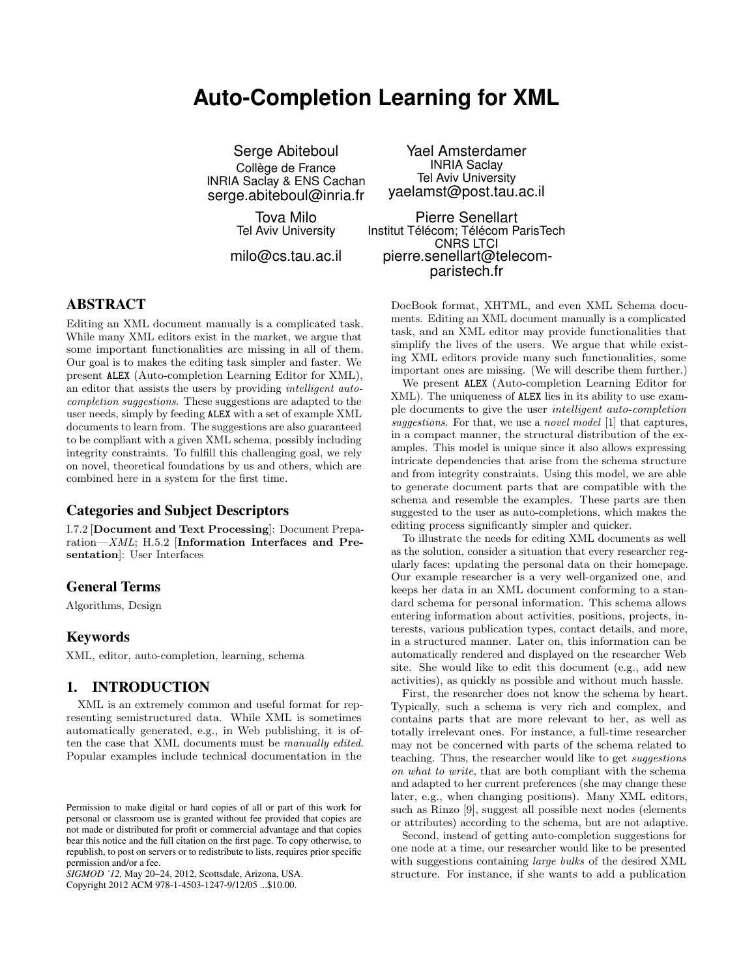# **Auto-Completion Learning for XML**

Serge Abiteboul Collège de France INRIA Saclay & ENS Cachan serge.abiteboul@inria.fr

> Tova Milo Tel Aviv University

milo@cs.tau.ac.il

Yael Amsterdamer INRIA Saclay Tel Aviv University yaelamst@post.tau.ac.il

Pierre Senellart Institut Télécom; Télécom ParisTech CNRS LTCI pierre.senellart@telecomparistech.fr

## ABSTRACT

Editing an XML document manually is a complicated task. While many XML editors exist in the market, we argue that some important functionalities are missing in all of them. Our goal is to makes the editing task simpler and faster. We present ALEX (Auto-completion Learning Editor for XML), an editor that assists the users by providing intelligent autocompletion suggestions. These suggestions are adapted to the user needs, simply by feeding ALEX with a set of example XML documents to learn from. The suggestions are also guaranteed to be compliant with a given XML schema, possibly including integrity constraints. To fulfill this challenging goal, we rely on novel, theoretical foundations by us and others, which are combined here in a system for the first time.

## Categories and Subject Descriptors

I.7.2 [Document and Text Processing]: Document Preparation—XML; H.5.2 [Information Interfaces and Presentation]: User Interfaces

## General Terms

Algorithms, Design

## Keywords

XML, editor, auto-completion, learning, schema

#### 1. INTRODUCTION

XML is an extremely common and useful format for representing semistructured data. While XML is sometimes automatically generated, e.g., in Web publishing, it is often the case that XML documents must be manually edited. Popular examples include technical documentation in the

Copyright 2012 ACM 978-1-4503-1247-9/12/05 ...\$10.00.

DocBook format, XHTML, and even XML Schema documents. Editing an XML document manually is a complicated task, and an XML editor may provide functionalities that simplify the lives of the users. We argue that while existing XML editors provide many such functionalities, some important ones are missing. (We will describe them further.)

We present ALEX (Auto-completion Learning Editor for XML). The uniqueness of ALEX lies in its ability to use example documents to give the user intelligent auto-completion suggestions. For that, we use a novel model [\[1\]](#page-3-0) that captures, in a compact manner, the structural distribution of the examples. This model is unique since it also allows expressing intricate dependencies that arise from the schema structure and from integrity constraints. Using this model, we are able to generate document parts that are compatible with the schema and resemble the examples. These parts are then suggested to the user as auto-completions, which makes the editing process significantly simpler and quicker.

To illustrate the needs for editing XML documents as well as the solution, consider a situation that every researcher regularly faces: updating the personal data on their homepage. Our example researcher is a very well-organized one, and keeps her data in an XML document conforming to a standard schema for personal information. This schema allows entering information about activities, positions, projects, interests, various publication types, contact details, and more, in a structured manner. Later on, this information can be automatically rendered and displayed on the researcher Web site. She would like to edit this document (e.g., add new activities), as quickly as possible and without much hassle.

First, the researcher does not know the schema by heart. Typically, such a schema is very rich and complex, and contains parts that are more relevant to her, as well as totally irrelevant ones. For instance, a full-time researcher may not be concerned with parts of the schema related to teaching. Thus, the researcher would like to get suggestions on what to write, that are both compliant with the schema and adapted to her current preferences (she may change these later, e.g., when changing positions). Many XML editors, such as Rinzo [\[9\]](#page-3-1), suggest all possible next nodes (elements or attributes) according to the schema, but are not adaptive.

Second, instead of getting auto-completion suggestions for one node at a time, our researcher would like to be presented with suggestions containing large bulks of the desired XML structure. For instance, if she wants to add a publication

Permission to make digital or hard copies of all or part of this work for personal or classroom use is granted without fee provided that copies are not made or distributed for profit or commercial advantage and that copies bear this notice and the full citation on the first page. To copy otherwise, to republish, to post on servers or to redistribute to lists, requires prior specific permission and/or a fee.

*SIGMOD '12,* May 20–24, 2012, Scottsdale, Arizona, USA.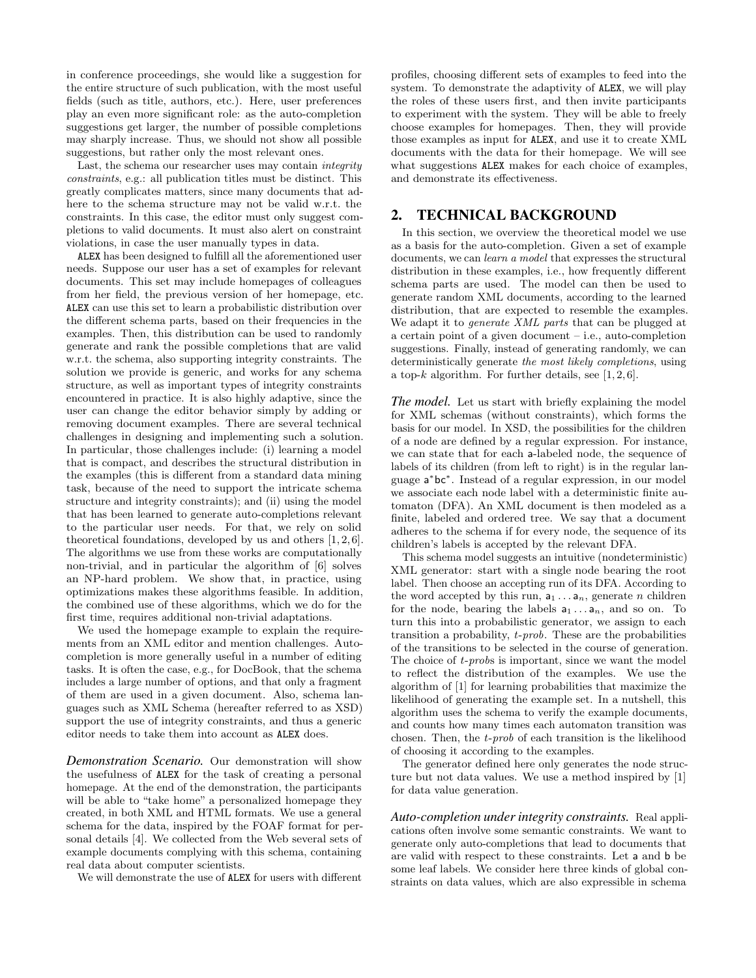in conference proceedings, she would like a suggestion for the entire structure of such publication, with the most useful fields (such as title, authors, etc.). Here, user preferences play an even more significant role: as the auto-completion suggestions get larger, the number of possible completions may sharply increase. Thus, we should not show all possible suggestions, but rather only the most relevant ones.

Last, the schema our researcher uses may contain integrity constraints, e.g.: all publication titles must be distinct. This greatly complicates matters, since many documents that adhere to the schema structure may not be valid w.r.t. the constraints. In this case, the editor must only suggest completions to valid documents. It must also alert on constraint violations, in case the user manually types in data.

ALEX has been designed to fulfill all the aforementioned user needs. Suppose our user has a set of examples for relevant documents. This set may include homepages of colleagues from her field, the previous version of her homepage, etc. ALEX can use this set to learn a probabilistic distribution over the different schema parts, based on their frequencies in the examples. Then, this distribution can be used to randomly generate and rank the possible completions that are valid w.r.t. the schema, also supporting integrity constraints. The solution we provide is generic, and works for any schema structure, as well as important types of integrity constraints encountered in practice. It is also highly adaptive, since the user can change the editor behavior simply by adding or removing document examples. There are several technical challenges in designing and implementing such a solution. In particular, those challenges include: (i) learning a model that is compact, and describes the structural distribution in the examples (this is different from a standard data mining task, because of the need to support the intricate schema structure and integrity constraints); and (ii) using the model that has been learned to generate auto-completions relevant to the particular user needs. For that, we rely on solid theoretical foundations, developed by us and others [\[1,](#page-3-0) [2,](#page-3-2) [6\]](#page-3-3). The algorithms we use from these works are computationally non-trivial, and in particular the algorithm of [\[6\]](#page-3-3) solves an NP-hard problem. We show that, in practice, using optimizations makes these algorithms feasible. In addition, the combined use of these algorithms, which we do for the first time, requires additional non-trivial adaptations.

We used the homepage example to explain the requirements from an XML editor and mention challenges. Autocompletion is more generally useful in a number of editing tasks. It is often the case, e.g., for DocBook, that the schema includes a large number of options, and that only a fragment of them are used in a given document. Also, schema languages such as XML Schema (hereafter referred to as XSD) support the use of integrity constraints, and thus a generic editor needs to take them into account as ALEX does.

*Demonstration Scenario.* Our demonstration will show the usefulness of ALEX for the task of creating a personal homepage. At the end of the demonstration, the participants will be able to "take home" a personalized homepage they created, in both XML and HTML formats. We use a general schema for the data, inspired by the FOAF format for personal details [\[4\]](#page-3-4). We collected from the Web several sets of example documents complying with this schema, containing real data about computer scientists.

We will demonstrate the use of ALEX for users with different

profiles, choosing different sets of examples to feed into the system. To demonstrate the adaptivity of ALEX, we will play the roles of these users first, and then invite participants to experiment with the system. They will be able to freely choose examples for homepages. Then, they will provide those examples as input for ALEX, and use it to create XML documents with the data for their homepage. We will see what suggestions ALEX makes for each choice of examples, and demonstrate its effectiveness.

#### 2. TECHNICAL BACKGROUND

In this section, we overview the theoretical model we use as a basis for the auto-completion. Given a set of example documents, we can learn a model that expresses the structural distribution in these examples, i.e., how frequently different schema parts are used. The model can then be used to generate random XML documents, according to the learned distribution, that are expected to resemble the examples. We adapt it to *generate XML parts* that can be plugged at a certain point of a given document – i.e., auto-completion suggestions. Finally, instead of generating randomly, we can deterministically generate the most likely completions, using a top- $k$  algorithm. For further details, see [\[1,](#page-3-0) [2,](#page-3-2) [6\]](#page-3-3).

*The model.* Let us start with briefly explaining the model for XML schemas (without constraints), which forms the basis for our model. In XSD, the possibilities for the children of a node are defined by a regular expression. For instance, we can state that for each a-labeled node, the sequence of labels of its children (from left to right) is in the regular language a ∗ bc<sup>∗</sup> . Instead of a regular expression, in our model we associate each node label with a deterministic finite automaton (DFA). An XML document is then modeled as a finite, labeled and ordered tree. We say that a document adheres to the schema if for every node, the sequence of its children's labels is accepted by the relevant DFA.

This schema model suggests an intuitive (nondeterministic) XML generator: start with a single node bearing the root label. Then choose an accepting run of its DFA. According to the word accepted by this run,  $a_1 \ldots a_n$ , generate *n* children for the node, bearing the labels  $a_1 \ldots a_n$ , and so on. To turn this into a probabilistic generator, we assign to each transition a probability, t-prob. These are the probabilities of the transitions to be selected in the course of generation. The choice of *t-probs* is important, since we want the model to reflect the distribution of the examples. We use the algorithm of [\[1\]](#page-3-0) for learning probabilities that maximize the likelihood of generating the example set. In a nutshell, this algorithm uses the schema to verify the example documents, and counts how many times each automaton transition was chosen. Then, the t-prob of each transition is the likelihood of choosing it according to the examples.

The generator defined here only generates the node structure but not data values. We use a method inspired by [\[1\]](#page-3-0) for data value generation.

*Auto-completion under integrity constraints.* Real applications often involve some semantic constraints. We want to generate only auto-completions that lead to documents that are valid with respect to these constraints. Let a and b be some leaf labels. We consider here three kinds of global constraints on data values, which are also expressible in schema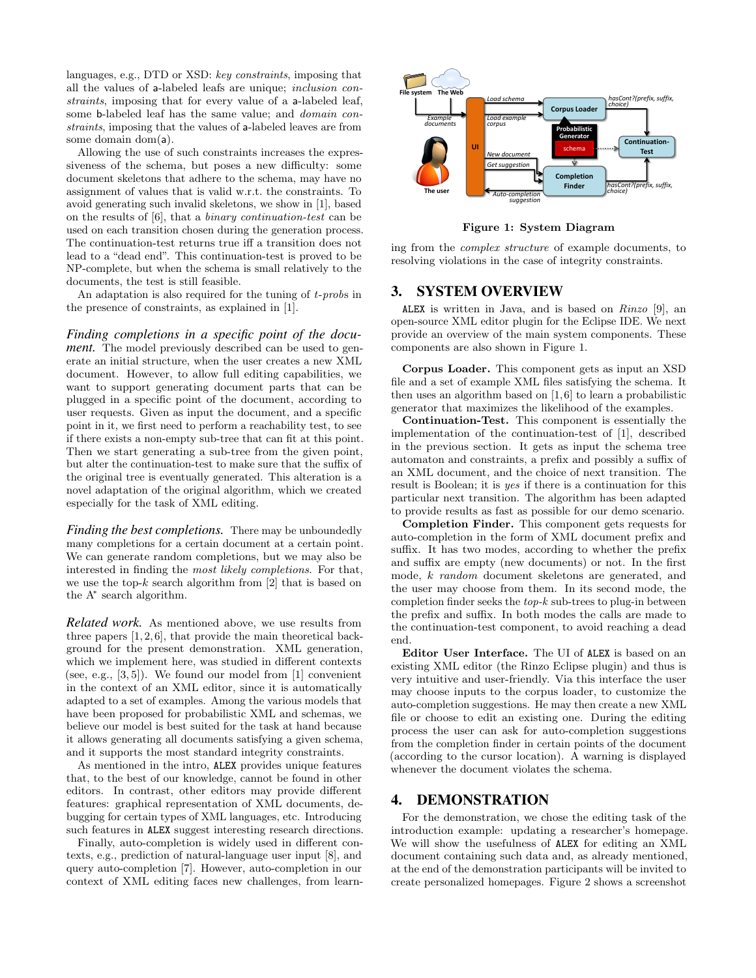languages, e.g., DTD or XSD: key constraints, imposing that all the values of a-labeled leafs are unique; inclusion constraints, imposing that for every value of a a-labeled leaf, some b-labeled leaf has the same value; and domain constraints, imposing that the values of a-labeled leaves are from some domain dom(a).

Allowing the use of such constraints increases the expressiveness of the schema, but poses a new difficulty: some document skeletons that adhere to the schema, may have no assignment of values that is valid w.r.t. the constraints. To avoid generating such invalid skeletons, we show in [\[1\]](#page-3-0), based on the results of [\[6\]](#page-3-3), that a binary continuation-test can be used on each transition chosen during the generation process. The continuation-test returns true iff a transition does not lead to a "dead end". This continuation-test is proved to be NP-complete, but when the schema is small relatively to the documents, the test is still feasible.

An adaptation is also required for the tuning of *t-probs* in the presence of constraints, as explained in [\[1\]](#page-3-0).

*Finding completions in a specific point of the document.* The model previously described can be used to generate an initial structure, when the user creates a new XML document. However, to allow full editing capabilities, we want to support generating document parts that can be plugged in a specific point of the document, according to user requests. Given as input the document, and a specific point in it, we first need to perform a reachability test, to see if there exists a non-empty sub-tree that can fit at this point. Then we start generating a sub-tree from the given point, but alter the continuation-test to make sure that the suffix of the original tree is eventually generated. This alteration is a novel adaptation of the original algorithm, which we created especially for the task of XML editing.

*Finding the best completions.* There may be unboundedly many completions for a certain document at a certain point. We can generate random completions, but we may also be interested in finding the most likely completions. For that, we use the top- $k$  search algorithm from [\[2\]](#page-3-2) that is based on the A<sup>∗</sup> search algorithm.

*Related work.* As mentioned above, we use results from three papers  $[1, 2, 6]$  $[1, 2, 6]$  $[1, 2, 6]$ , that provide the main theoretical background for the present demonstration. XML generation, which we implement here, was studied in different contexts (see, e.g.,  $[3, 5]$  $[3, 5]$ ). We found our model from  $[1]$  convenient in the context of an XML editor, since it is automatically adapted to a set of examples. Among the various models that have been proposed for probabilistic XML and schemas, we believe our model is best suited for the task at hand because it allows generating all documents satisfying a given schema, and it supports the most standard integrity constraints.

As mentioned in the intro, ALEX provides unique features that, to the best of our knowledge, cannot be found in other editors. In contrast, other editors may provide different features: graphical representation of XML documents, debugging for certain types of XML languages, etc. Introducing such features in ALEX suggest interesting research directions.

Finally, auto-completion is widely used in different contexts, e.g., prediction of natural-language user input [\[8\]](#page-3-7), and query auto-completion [\[7\]](#page-3-8). However, auto-completion in our context of XML editing faces new challenges, from learn-



<span id="page-2-0"></span>Figure 1: System Diagram

ing from the complex structure of example documents, to resolving violations in the case of integrity constraints.

#### 3. SYSTEM OVERVIEW

ALEX is written in Java, and is based on Rinzo [\[9\]](#page-3-1), an open-source XML editor plugin for the Eclipse IDE. We next provide an overview of the main system components. These components are also shown in Figure [1.](#page-2-0)

Corpus Loader. This component gets as input an XSD file and a set of example XML files satisfying the schema. It then uses an algorithm based on [\[1,](#page-3-0) [6\]](#page-3-3) to learn a probabilistic generator that maximizes the likelihood of the examples.

Continuation-Test. This component is essentially the implementation of the continuation-test of [\[1\]](#page-3-0), described in the previous section. It gets as input the schema tree automaton and constraints, a prefix and possibly a suffix of an XML document, and the choice of next transition. The result is Boolean; it is yes if there is a continuation for this particular next transition. The algorithm has been adapted to provide results as fast as possible for our demo scenario.

Completion Finder. This component gets requests for auto-completion in the form of XML document prefix and suffix. It has two modes, according to whether the prefix and suffix are empty (new documents) or not. In the first mode, k random document skeletons are generated, and the user may choose from them. In its second mode, the completion finder seeks the  $top-k$  sub-trees to plug-in between the prefix and suffix. In both modes the calls are made to the continuation-test component, to avoid reaching a dead end.

Editor User Interface. The UI of ALEX is based on an existing XML editor (the Rinzo Eclipse plugin) and thus is very intuitive and user-friendly. Via this interface the user may choose inputs to the corpus loader, to customize the auto-completion suggestions. He may then create a new XML file or choose to edit an existing one. During the editing process the user can ask for auto-completion suggestions from the completion finder in certain points of the document (according to the cursor location). A warning is displayed whenever the document violates the schema.

### 4. DEMONSTRATION

For the demonstration, we chose the editing task of the introduction example: updating a researcher's homepage. We will show the usefulness of ALEX for editing an XML document containing such data and, as already mentioned, at the end of the demonstration participants will be invited to create personalized homepages. Figure [2](#page-3-9) shows a screenshot